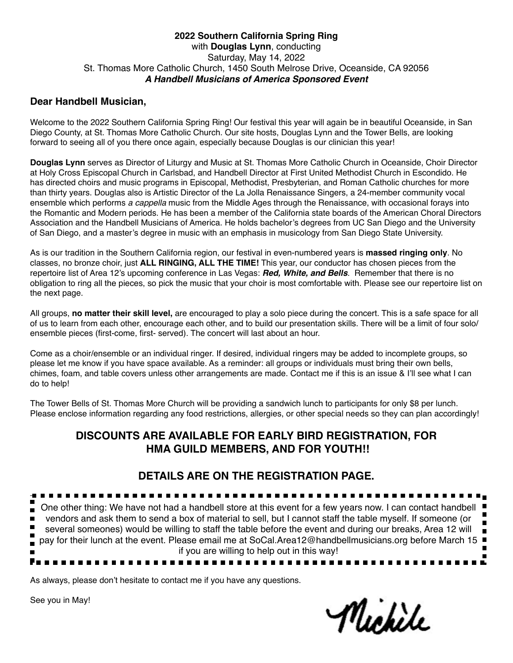#### **2022 Southern California Spring Ring** with **Douglas Lynn**, conducting Saturday, May 14, 2022 St. Thomas More Catholic Church, 1450 South Melrose Drive, Oceanside, CA 92056 *A Handbell Musicians of America Sponsored Event*

# **Dear Handbell Musician,**

Welcome to the 2022 Southern California Spring Ring! Our festival this year will again be in beautiful Oceanside, in San Diego County, at St. Thomas More Catholic Church. Our site hosts, Douglas Lynn and the Tower Bells, are looking forward to seeing all of you there once again, especially because Douglas is our clinician this year!

**Douglas Lynn** serves as Director of Liturgy and Music at St. Thomas More Catholic Church in Oceanside, Choir Director at Holy Cross Episcopal Church in Carlsbad, and Handbell Director at First United Methodist Church in Escondido. He has directed choirs and music programs in Episcopal, Methodist, Presbyterian, and Roman Catholic churches for more than thirty years. Douglas also is Artistic Director of the La Jolla Renaissance Singers, a 24‑member community vocal ensemble which performs *a cappella* music from the Middle Ages through the Renaissance, with occasional forays into the Romantic and Modern periods. He has been a member of the California state boards of the American Choral Directors Association and the Handbell Musicians of America. He holds bachelor's degrees from UC San Diego and the University of San Diego, and a master's degree in music with an emphasis in musicology from San Diego State University.

As is our tradition in the Southern California region, our festival in even-numbered years is **massed ringing only**. No classes, no bronze choir, just **ALL RINGING, ALL THE TIME!** This year, our conductor has chosen pieces from the repertoire list of Area 12's upcoming conference in Las Vegas: *Red, White, and Bells*. Remember that there is no obligation to ring all the pieces, so pick the music that your choir is most comfortable with. Please see our repertoire list on the next page.

All groups, **no matter their skill level,** are encouraged to play a solo piece during the concert. This is a safe space for all of us to learn from each other, encourage each other, and to build our presentation skills. There will be a limit of four solo/ ensemble pieces (first-come, first- served). The concert will last about an hour.

Come as a choir/ensemble or an individual ringer. If desired, individual ringers may be added to incomplete groups, so please let me know if you have space available. As a reminder: all groups or individuals must bring their own bells, chimes, foam, and table covers unless other arrangements are made. Contact me if this is an issue & I'll see what I can do to help!

The Tower Bells of St. Thomas More Church will be providing a sandwich lunch to participants for only \$8 per lunch. Please enclose information regarding any food restrictions, allergies, or other special needs so they can plan accordingly!

# **DISCOUNTS ARE AVAILABLE FOR EARLY BIRD REGISTRATION, FOR HMA GUILD MEMBERS, AND FOR YOUTH!!**

# **DETAILS ARE ON THE REGISTRATION PAGE.**

. . . . . . . . . . . . . . . . . . . . . One other thing: We have not had a handbell store at this event for a few years now. I can contact handbell I  $\blacksquare$ vendors and ask them to send a box of material to sell, but I cannot staff the table myself. If someone (or  $\blacksquare$  $\blacksquare$ several someones) would be willing to staff the table before the event and during our breaks, Area 12 will П pay for their lunch at the event. Please email me at SoCal.Area12@handbellmusicians.org before March 15  $\blacksquare$ if you are willing to help out in this way!

As always, please don't hesitate to contact me if you have any questions.

See you in May!

Michile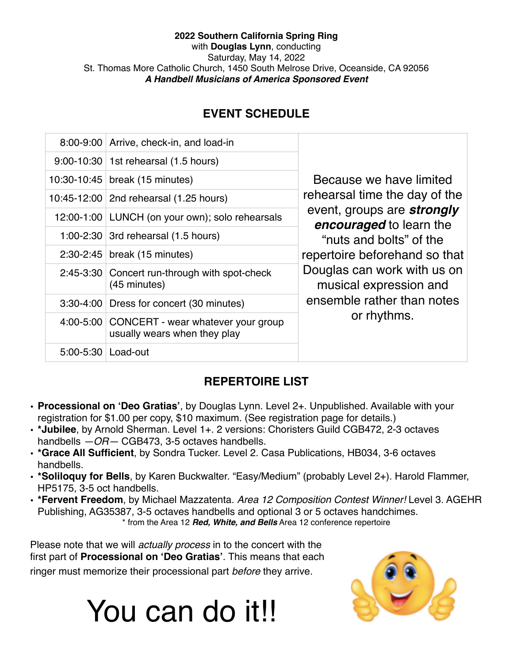## **2022 Southern California Spring Ring** with **Douglas Lynn**, conducting Saturday, May 14, 2022 St. Thomas More Catholic Church, 1450 South Melrose Drive, Oceanside, CA 92056 *A Handbell Musicians of America Sponsored Event*

# **EVENT SCHEDULE**

|                      | 8:00-9:00 Arrive, check-in, and load-in                                      | Because we have limited<br>rehearsal time the day of the<br>event, groups are strongly<br><b>encouraged</b> to learn the<br>"nuts and bolts" of the<br>repertoire beforehand so that<br>Douglas can work with us on<br>musical expression and<br>ensemble rather than notes<br>or rhythms. |
|----------------------|------------------------------------------------------------------------------|--------------------------------------------------------------------------------------------------------------------------------------------------------------------------------------------------------------------------------------------------------------------------------------------|
|                      | 9:00-10:30   1st rehearsal (1.5 hours)                                       |                                                                                                                                                                                                                                                                                            |
|                      | 10:30-10:45   break (15 minutes)                                             |                                                                                                                                                                                                                                                                                            |
|                      | 10:45-12:00   2nd rehearsal (1.25 hours)                                     |                                                                                                                                                                                                                                                                                            |
|                      | 12:00-1:00 LUNCH (on your own); solo rehearsals                              |                                                                                                                                                                                                                                                                                            |
|                      | 1:00-2:30 3rd rehearsal $(1.5$ hours)                                        |                                                                                                                                                                                                                                                                                            |
|                      | $2:30-2:45$ break (15 minutes)                                               |                                                                                                                                                                                                                                                                                            |
|                      | 2:45-3:30 Concert run-through with spot-check<br>(45 minutes)                |                                                                                                                                                                                                                                                                                            |
|                      | 3:30-4:00 Dress for concert (30 minutes)                                     |                                                                                                                                                                                                                                                                                            |
|                      | 4:00-5:00 CONCERT - wear whatever your group<br>usually wears when they play |                                                                                                                                                                                                                                                                                            |
| 5:00-5:30   Load-out |                                                                              |                                                                                                                                                                                                                                                                                            |

# **REPERTOIRE LIST**

- **• Processional on 'Deo Gratias'**, by Douglas Lynn. Level 2+. Unpublished. Available with your registration for \$1.00 per copy, \$10 maximum. (See registration page for details.)
- **• \*Jubilee**, by Arnold Sherman. Level 1+. 2 versions: Choristers Guild CGB472, 2-3 octaves handbells *—OR—* CGB473, 3-5 octaves handbells.
- **• \*Grace All Sufficient**, by Sondra Tucker. Level 2. Casa Publications, HB034, 3-6 octaves handbells.
- **• \*Soliloquy for Bells**, by Karen Buckwalter. "Easy/Medium" (probably Level 2+). Harold Flammer, HP5175, 3-5 oct handbells.
- **• \*Fervent Freedom**, by Michael Mazzatenta. *Area 12 Composition Contest Winner!* Level 3. AGEHR Publishing, AG35387, 3-5 octaves handbells and optional 3 or 5 octaves handchimes. \* from the Area 12 *Red, White, and Bells* Area 12 conference repertoire

Please note that we will *actually process* in to the concert with the first part of **Processional on 'Deo Gratias'**. This means that each ringer must memorize their processional part *before* they arrive.

# You can do it!!

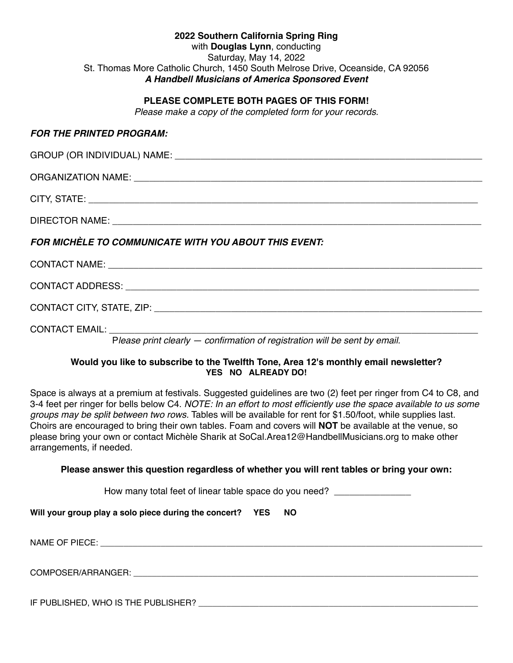| 2022 Southern California Spring Ring                                           |  |  |  |
|--------------------------------------------------------------------------------|--|--|--|
| with <b>Douglas Lynn</b> , conducting                                          |  |  |  |
| Saturday, May 14, 2022                                                         |  |  |  |
| St. Thomas More Catholic Church, 1450 South Melrose Drive, Oceanside, CA 92056 |  |  |  |
| A Handbell Musicians of America Sponsored Event                                |  |  |  |

#### **PLEASE COMPLETE BOTH PAGES OF THIS FORM!**

*Please make a copy of the completed form for your records.*

#### *FOR THE PRINTED PROGRAM:*

| FOR MICHÈLE TO COMMUNICATE WITH YOU ABOUT THIS EVENT:                      |  |  |  |
|----------------------------------------------------------------------------|--|--|--|
|                                                                            |  |  |  |
|                                                                            |  |  |  |
|                                                                            |  |  |  |
| Please print clearly - confirmation of registration will be sent by email. |  |  |  |

#### **Would you like to subscribe to the Twelfth Tone, Area 12's monthly email newsletter? YES NO ALREADY DO!**

Space is always at a premium at festivals. Suggested guidelines are two (2) feet per ringer from C4 to C8, and 3-4 feet per ringer for bells below C4. *NOTE: In an effort to most efficiently use the space available to us some groups may be split between two rows.* Tables will be available for rent for \$1.50/foot, while supplies last. Choirs are encouraged to bring their own tables. Foam and covers will **NOT** be available at the venue, so please bring your own or contact Michèle Sharik at SoCal.Area12@HandbellMusicians.org to make other arrangements, if needed.

#### **Please answer this question regardless of whether you will rent tables or bring your own:**

How many total feet of linear table space do you need? **\_\_\_\_\_\_\_\_\_\_\_\_\_\_\_**

**Will your group play a solo piece during the concert? YES NO**

NAME OF PIECE: The state of the state of the state of the state of the state of the state of the state of the state of the state of the state of the state of the state of the state of the state of the state of the state of

COMPOSER/ARRANGER: \_\_\_\_\_\_\_\_\_\_\_\_\_\_\_\_\_\_\_\_\_\_\_\_\_\_\_\_\_\_\_\_\_\_\_\_\_\_\_\_\_\_\_\_\_\_\_\_\_\_\_\_\_\_\_\_\_\_\_\_\_\_\_\_\_\_\_\_\_\_\_\_\_\_

IF PUBLISHED, WHO IS THE PUBLISHER?  $\blacksquare$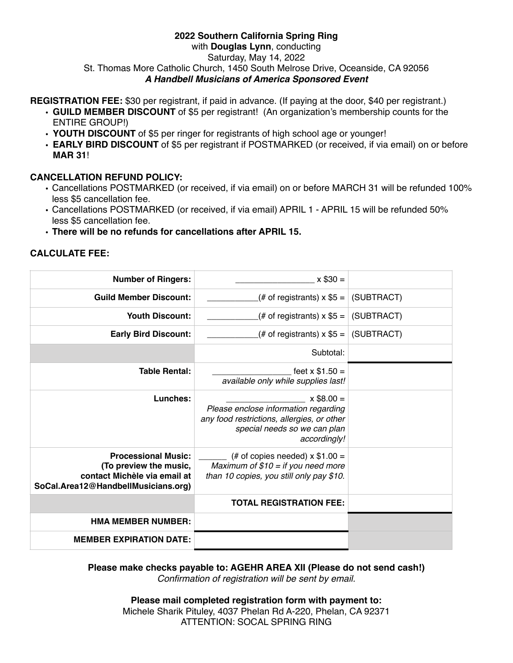#### **2022 Southern California Spring Ring** with **Douglas Lynn**, conducting Saturday, May 14, 2022 St. Thomas More Catholic Church, 1450 South Melrose Drive, Oceanside, CA 92056 *A Handbell Musicians of America Sponsored Event*

## **REGISTRATION FEE:** \$30 per registrant, if paid in advance. (If paying at the door, \$40 per registrant.)

- **• GUILD MEMBER DISCOUNT** of \$5 per registrant! (An organization's membership counts for the ENTIRE GROUP!)
- **• YOUTH DISCOUNT** of \$5 per ringer for registrants of high school age or younger!
- **• EARLY BIRD DISCOUNT** of \$5 per registrant if POSTMARKED (or received, if via email) on or before **MAR 31**!

## **CANCELLATION REFUND POLICY:**

- Cancellations POSTMARKED (or received, if via email) on or before MARCH 31 will be refunded 100% less \$5 cancellation fee.
- Cancellations POSTMARKED (or received, if via email) APRIL 1 APRIL 15 will be refunded 50% less \$5 cancellation fee.
- **• There will be no refunds for cancellations after APRIL 15.**

## **CALCULATE FEE:**

| <b>Number of Ringers:</b>                                                                                                   | $x$ \$30 =                                                                                                                                         |            |
|-----------------------------------------------------------------------------------------------------------------------------|----------------------------------------------------------------------------------------------------------------------------------------------------|------------|
| <b>Guild Member Discount:</b>                                                                                               | (# of registrants) $x$ \$5 =                                                                                                                       | (SUBTRACT) |
| <b>Youth Discount:</b>                                                                                                      | (# of registrants) x $$5 =$                                                                                                                        | (SUBTRACT) |
| <b>Early Bird Discount:</b>                                                                                                 | (# of registrants) x $$5 =  $ (SUBTRACT)                                                                                                           |            |
|                                                                                                                             | Subtotal:                                                                                                                                          |            |
| <b>Table Rental:</b>                                                                                                        | feet $x $1.50 =$<br>available only while supplies last!                                                                                            |            |
| Lunches:                                                                                                                    | $x$ \$8.00 =<br>Please enclose information regarding<br>any food restrictions, allergies, or other<br>special needs so we can plan<br>accordingly! |            |
| <b>Processional Music:</b><br>(To preview the music,<br>contact Michèle via email at<br>SoCal.Area12@HandbellMusicians.org) | (# of copies needed) $\times$ \$1.00 =<br>Maximum of $$10 =$ if you need more<br>than 10 copies, you still only pay \$10.                          |            |
|                                                                                                                             | <b>TOTAL REGISTRATION FEE:</b>                                                                                                                     |            |
| <b>HMA MEMBER NUMBER:</b>                                                                                                   |                                                                                                                                                    |            |
| <b>MEMBER EXPIRATION DATE:</b>                                                                                              |                                                                                                                                                    |            |

**Please make checks payable to: AGEHR AREA XII (Please do not send cash!)** *Confirmation of registration will be sent by email.*

> **Please mail completed registration form with payment to:** Michele Sharik Pituley, 4037 Phelan Rd A-220, Phelan, CA 92371 ATTENTION: SOCAL SPRING RING